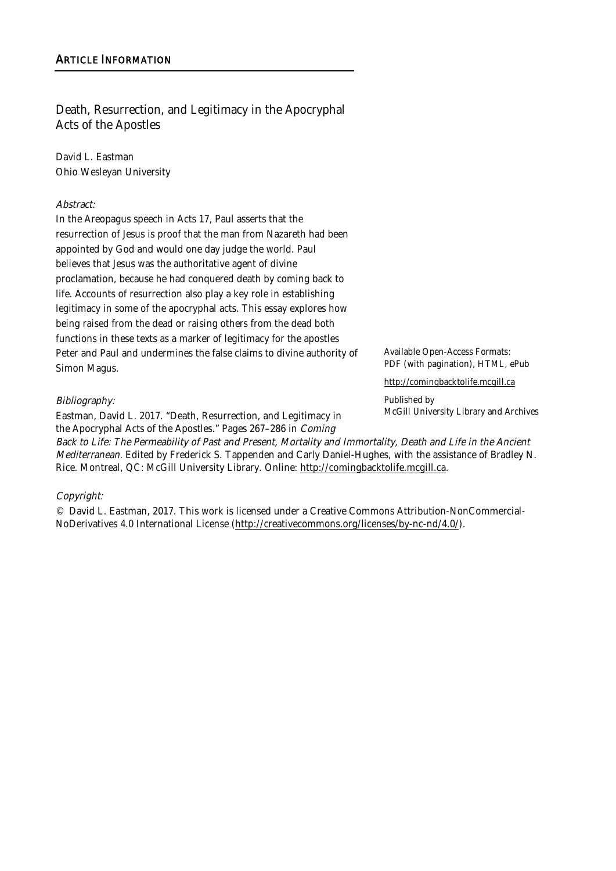Death, Resurrection, and Legitimacy in the Apocryphal Acts of the Apostles

David L. Eastman Ohio Wesleyan University

#### Abstract:

In the Areopagus speech in Acts 17, Paul asserts that the resurrection of Jesus is proof that the man from Nazareth had been appointed by God and would one day judge the world. Paul believes that Jesus was the authoritative agent of divine proclamation, because he had conquered death by coming back to life. Accounts of resurrection also play a key role in establishing legitimacy in some of the apocryphal acts. This essay explores how being raised from the dead or raising others from the dead both functions in these texts as a marker of legitimacy for the apostles Peter and Paul and undermines the false claims to divine authority of Simon Magus.

Available Open-Access Formats: PDF (with pagination), HTML, ePub

McGill University Library and Archives

http://comingbacktolife.mcgill.ca

Published by

Bibliography:

Eastman, David L. 2017. "Death, Resurrection, and Legitimacy in the Apocryphal Acts of the Apostles." Pages 267–286 in Coming

Back to Life: The Permeability of Past and Present, Mortality and Immortality, Death and Life in the Ancient Mediterranean. Edited by Frederick S. Tappenden and Carly Daniel-Hughes, with the assistance of Bradley N. Rice. Montreal, QC: McGill University Library. Online: http://comingbacktolife.mcgill.ca.

## Copyright:

© David L. Eastman, 2017. This work is licensed under a Creative Commons Attribution-NonCommercial-NoDerivatives 4.0 International License (http://creativecommons.org/licenses/by-nc-nd/4.0/).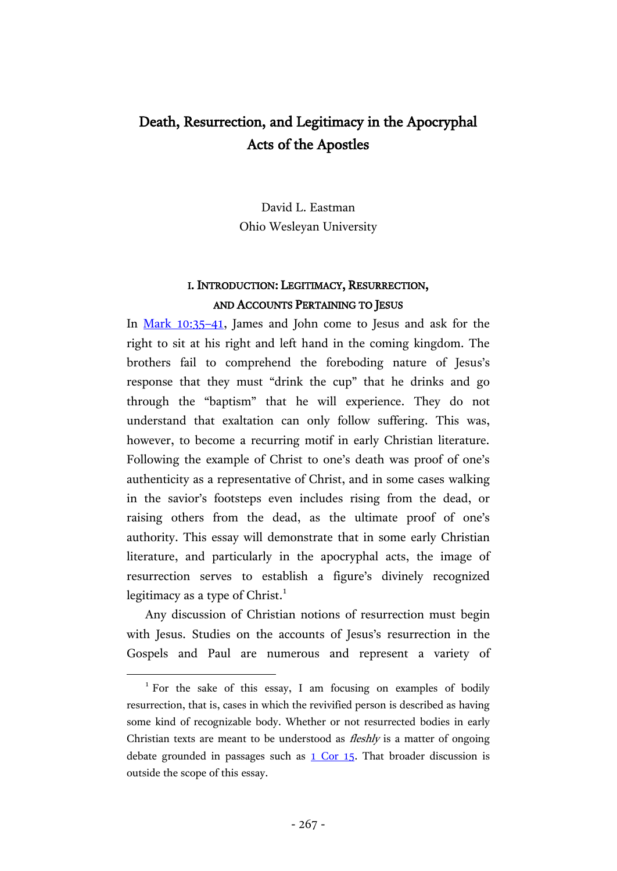# Death, Resurrection, and Legitimacy in the Apocryphal Acts of the Apostles

David L. Eastman Ohio Wesleyan University

# I. INTRODUCTION: LEGITIMACY, RESURRECTION, AND ACCOUNTS PERTAINING TO JESUS

In [Mark 10:35](http://www.academic-bible.com/bible-text/Mark10.35-41/NA/)–41, James and John come to Jesus and ask for the right to sit at his right and left hand in the coming kingdom. The brothers fail to comprehend the foreboding nature of Jesus's response that they must "drink the cup" that he drinks and go through the "baptism" that he will experience. They do not understand that exaltation can only follow suffering. This was, however, to become a recurring motif in early Christian literature. Following the example of Christ to one's death was proof of one's authenticity as a representative of Christ, and in some cases walking in the savior's footsteps even includes rising from the dead, or raising others from the dead, as the ultimate proof of one's authority. This essay will demonstrate that in some early Christian literature, and particularly in the apocryphal acts, the image of resurrection serves to establish a figure's divinely recognized legitimacy as a type of  $Christ.1$ 

Any discussion of Christian notions of resurrection must begin with Jesus. Studies on the accounts of Jesus's resurrection in the Gospels and Paul are numerous and represent a variety of

<sup>&</sup>lt;sup>1</sup> For the sake of this essay, I am focusing on examples of bodily resurrection, that is, cases in which the revivified person is described as having some kind of recognizable body. Whether or not resurrected bodies in early Christian texts are meant to be understood as fleshly is a matter of ongoing debate grounded in passages such as  $1$  Cor 15. That broader discussion is outside the scope of this essay.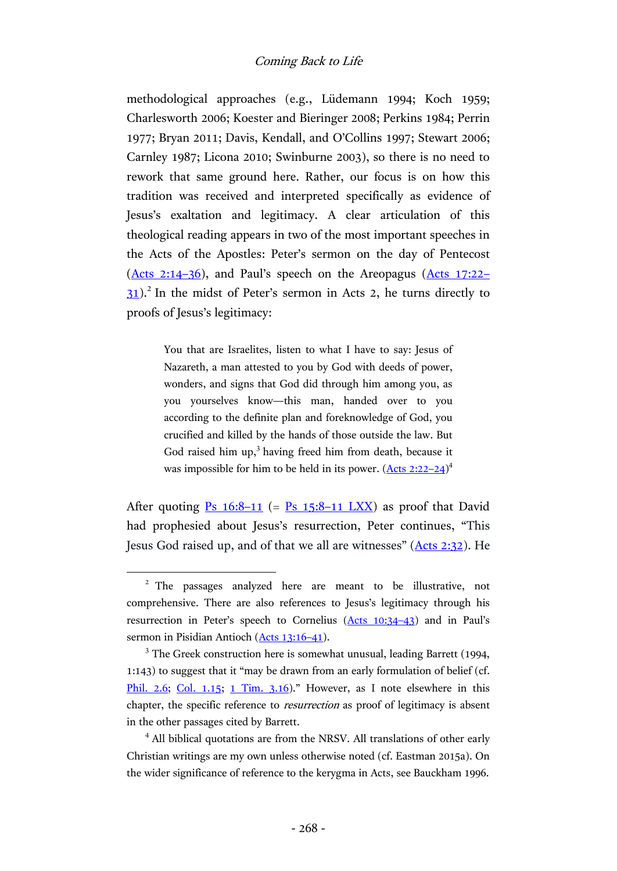methodological approaches (e.g., Lüdemann 1994; Koch 1959; Charlesworth 2006; Koester and Bieringer 2008; Perkins 1984; Perrin 1977; Bryan 2011; Davis, Kendall, and O'Collins 1997; Stewart 2006; Carnley 1987; Licona 2010; Swinburne 2003), so there is no need to rework that same ground here. Rather, our focus is on how this tradition was received and interpreted specifically as evidence of Jesus's exaltation and legitimacy. A clear articulation of this theological reading appears in two of the most important speeches in the Acts of the Apostles: Peter's sermon on the day of Pentecost [\(Acts 2:14](http://www.academic-bible.com/bible-text/Acts2.14-36/NA/)–36), and Paul's speech on the Areopagus [\(Acts 17:22](http://www.academic-bible.com/bible-text/Acts17.22-31/NA/)–  $31$ ).<sup>2</sup> In the midst of Peter's sermon in Acts 2, he turns directly to proofs of Jesus's legitimacy:

> You that are Israelites, listen to what I have to say: Jesus of Nazareth, a man attested to you by God with deeds of power, wonders, and signs that God did through him among you, as you yourselves know—this man, handed over to you according to the definite plan and foreknowledge of God, you crucified and killed by the hands of those outside the law. But God raised him up,<sup>3</sup> having freed him from death, because it was impossible for him to be held in its power. [\(Acts 2:22](http://www.academic-bible.com/bible-text/Acts2.22-24/NA/)-24)<sup>4</sup>

After quoting  $\text{Ps } 16:8-11$  $\text{Ps } 16:8-11$  $\text{Ps } 16:8-11$  (=  $\text{Ps } 15:8-11$  LXX) as proof that David had prophesied about Jesus's resurrection, Peter continues, "This Jesus God raised up, and of that we all are witnesses" [\(Acts 2:32\)](http://www.academic-bible.com/bible-text/Acts2.32/NA/). He

<sup>&</sup>lt;sup>2</sup> The passages analyzed here are meant to be illustrative, not comprehensive. There are also references to Jesus's legitimacy through his resurrection in Peter's speech to Cornelius ([Acts 10:34](http://www.academic-bible.com/bible-text/Acts10.34-43/NA/)–43) and in Paul's sermon in Pisidian Antioch [\(Acts 13:16](http://www.academic-bible.com/bible-text/Acts13.16-41/NA/)-41).

<sup>&</sup>lt;sup>3</sup> The Greek construction here is somewhat unusual, leading Barrett (1994, 1:143) to suggest that it "may be drawn from an early formulation of belief (cf. [Phil. 2.6;](http://www.academic-bible.com/bible-text/philippians2.6/NA/) [Col. 1.15;](http://www.academic-bible.com/bible-text/colossians1.15/NA/) [1 Tim. 3.16](http://www.academic-bible.com/bible-text/1timothy3.16/NA/))." However, as I note elsewhere in this chapter, the specific reference to *resurrection* as proof of legitimacy is absent in the other passages cited by Barrett.

<sup>&</sup>lt;sup>4</sup> All biblical quotations are from the NRSV. All translations of other early Christian writings are my own unless otherwise noted (cf. Eastman 2015a). On the wider significance of reference to the kerygma in Acts, see Bauckham 1996.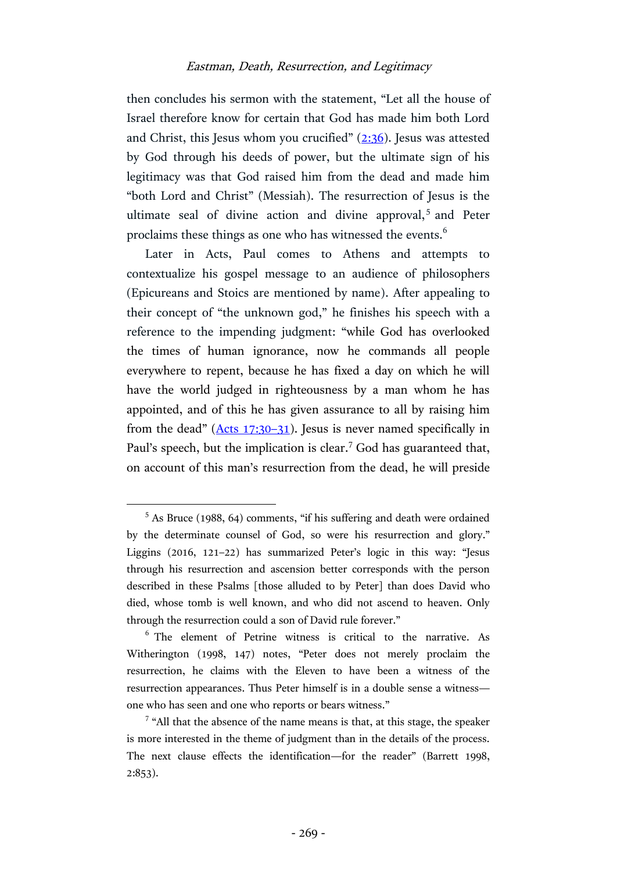then concludes his sermon with the statement, "Let all the house of Israel therefore know for certain that God has made him both Lord and Christ, this Jesus whom you crucified"  $(2:36)$ . Jesus was attested by God through his deeds of power, but the ultimate sign of his legitimacy was that God raised him from the dead and made him "both Lord and Christ" (Messiah). The resurrection of Jesus is the ultimate seal of divine action and divine approval, 5 and Peter proclaims these things as one who has witnessed the events.<sup>6</sup>

Later in Acts, Paul comes to Athens and attempts to contextualize his gospel message to an audience of philosophers (Epicureans and Stoics are mentioned by name). After appealing to their concept of "the unknown god," he finishes his speech with a reference to the impending judgment: "while God has overlooked the times of human ignorance, now he commands all people everywhere to repent, because he has fixed a day on which he will have the world judged in righteousness by a man whom he has appointed, and of this he has given assurance to all by raising him from the dead" [\(Acts 17:30](http://www.academic-bible.com/bible-text/Acts17.30-31/NA/)–31). Jesus is never named specifically in Paul's speech, but the implication is clear.<sup>7</sup> God has guaranteed that, on account of this man's resurrection from the dead, he will preside

<sup>5</sup> As Bruce (1988, 64) comments, "if his suffering and death were ordained by the determinate counsel of God, so were his resurrection and glory." Liggins (2016, 121–22) has summarized Peter's logic in this way: "Jesus through his resurrection and ascension better corresponds with the person described in these Psalms [those alluded to by Peter] than does David who died, whose tomb is well known, and who did not ascend to heaven. Only through the resurrection could a son of David rule forever."

 $6$  The element of Petrine witness is critical to the narrative. As Witherington (1998, 147) notes, "Peter does not merely proclaim the resurrection, he claims with the Eleven to have been a witness of the resurrection appearances. Thus Peter himself is in a double sense a witness one who has seen and one who reports or bears witness."

 $7$  "All that the absence of the name means is that, at this stage, the speaker is more interested in the theme of judgment than in the details of the process. The next clause effects the identification—for the reader" (Barrett 1998, 2:853).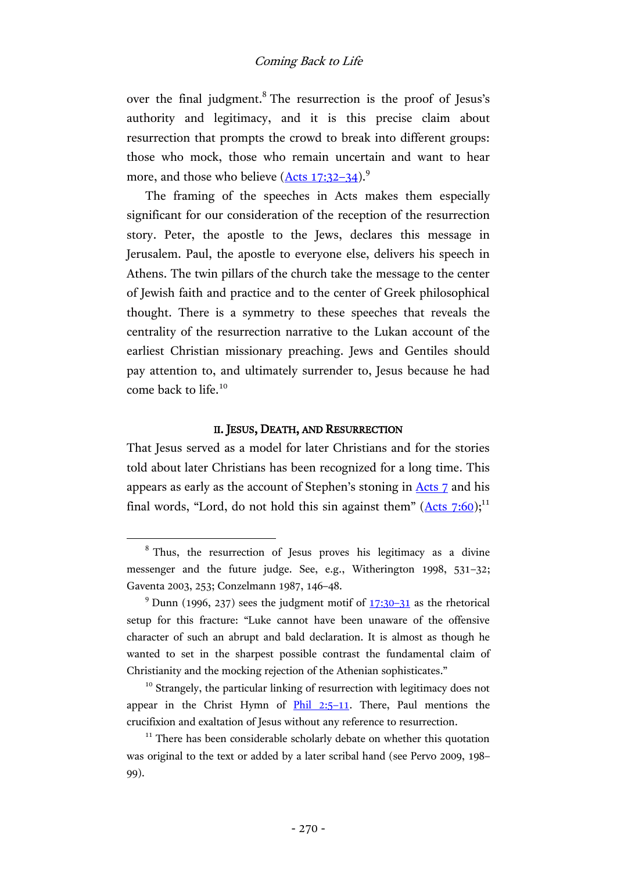over the final judgment.<sup>8</sup> The resurrection is the proof of Jesus's authority and legitimacy, and it is this precise claim about resurrection that prompts the crowd to break into different groups: those who mock, those who remain uncertain and want to hear more, and those who believe [\(Acts 17:32](http://www.academic-bible.com/bible-text/Acts17.32-34/NA/)–34).<sup>9</sup>

The framing of the speeches in Acts makes them especially significant for our consideration of the reception of the resurrection story. Peter, the apostle to the Jews, declares this message in Jerusalem. Paul, the apostle to everyone else, delivers his speech in Athens. The twin pillars of the church take the message to the center of Jewish faith and practice and to the center of Greek philosophical thought. There is a symmetry to these speeches that reveals the centrality of the resurrection narrative to the Lukan account of the earliest Christian missionary preaching. Jews and Gentiles should pay attention to, and ultimately surrender to, Jesus because he had come back to life.<sup>10</sup>

#### II. JESUS, DEATH, AND RESURRECTION

That Jesus served as a model for later Christians and for the stories told about later Christians has been recognized for a long time. This appears as early as the account of Stephen's stoning in [Acts 7](http://www.academic-bible.com/bible-text/Acts7/NA/) and his final words, "Lord, do not hold this sin against them" [\(Acts 7:60\)](http://www.academic-bible.com/bible-text/Acts7.60/NA/);<sup>11</sup>

<sup>8</sup> Thus, the resurrection of Jesus proves his legitimacy as a divine messenger and the future judge. See, e.g., Witherington 1998, 531–32; Gaventa 2003, 253; Conzelmann 1987, 146–48.

 $9$  Dunn (1996, 237) sees the judgment motif of  $17:30-31$  as the rhetorical setup for this fracture: "Luke cannot have been unaware of the offensive character of such an abrupt and bald declaration. It is almost as though he wanted to set in the sharpest possible contrast the fundamental claim of Christianity and the mocking rejection of the Athenian sophisticates."

 $10<sup>10</sup>$  Strangely, the particular linking of resurrection with legitimacy does not appear in the Christ Hymn of  $Phil$  2:5-11. There, Paul mentions the crucifixion and exaltation of Jesus without any reference to resurrection.

<sup>&</sup>lt;sup>11</sup> There has been considerable scholarly debate on whether this quotation was original to the text or added by a later scribal hand (see Pervo 2009, 198– 99).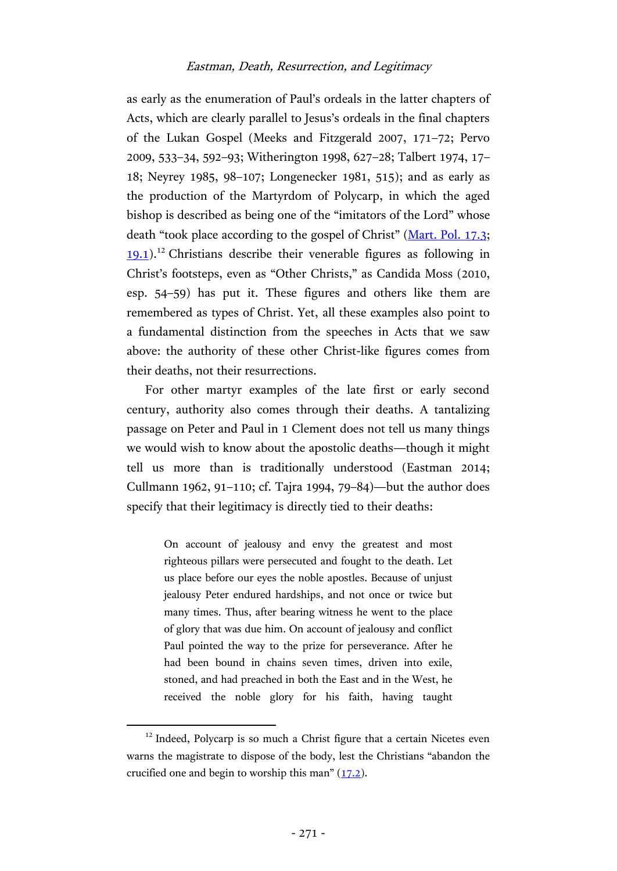as early as the enumeration of Paul's ordeals in the latter chapters of Acts, which are clearly parallel to Jesus's ordeals in the final chapters of the Lukan Gospel (Meeks and Fitzgerald 2007, 171–72; Pervo 2009, 533–34, 592–93; Witherington 1998, 627–28; Talbert 1974, 17– 18; Neyrey 1985, 98–107; Longenecker 1981, 515); and as early as the production of the Martyrdom of Polycarp, in which the aged bishop is described as being one of the "imitators of the Lord" whose death "took place according to the gospel of Christ" [\(Mart. Pol.](http://hdl.handle.net/2027/mdp.39015042084197?urlappend=%3Bseq=346) 17.3;  $19.1$ <sup>12</sup> Christians describe their venerable figures as following in Christ's footsteps, even as "Other Christs," as Candida Moss (2010, esp. 54–59) has put it. These figures and others like them are remembered as types of Christ. Yet, all these examples also point to a fundamental distinction from the speeches in Acts that we saw above: the authority of these other Christ-like figures comes from their deaths, not their resurrections.

For other martyr examples of the late first or early second century, authority also comes through their deaths. A tantalizing passage on Peter and Paul in 1 Clement does not tell us many things we would wish to know about the apostolic deaths—though it might tell us more than is traditionally understood (Eastman 2014; Cullmann 1962, 91–110; cf. Tajra 1994, 79–84)—but the author does specify that their legitimacy is directly tied to their deaths:

> On account of jealousy and envy the greatest and most righteous pillars were persecuted and fought to the death. Let us place before our eyes the noble apostles. Because of unjust jealousy Peter endured hardships, and not once or twice but many times. Thus, after bearing witness he went to the place of glory that was due him. On account of jealousy and conflict Paul pointed the way to the prize for perseverance. After he had been bound in chains seven times, driven into exile, stoned, and had preached in both the East and in the West, he received the noble glory for his faith, having taught

<sup>&</sup>lt;sup>12</sup> Indeed, Polycarp is so much a Christ figure that a certain Nicetes even warns the magistrate to dispose of the body, lest the Christians "abandon the crucified one and begin to worship this man"  $(17.2)$  $(17.2)$ .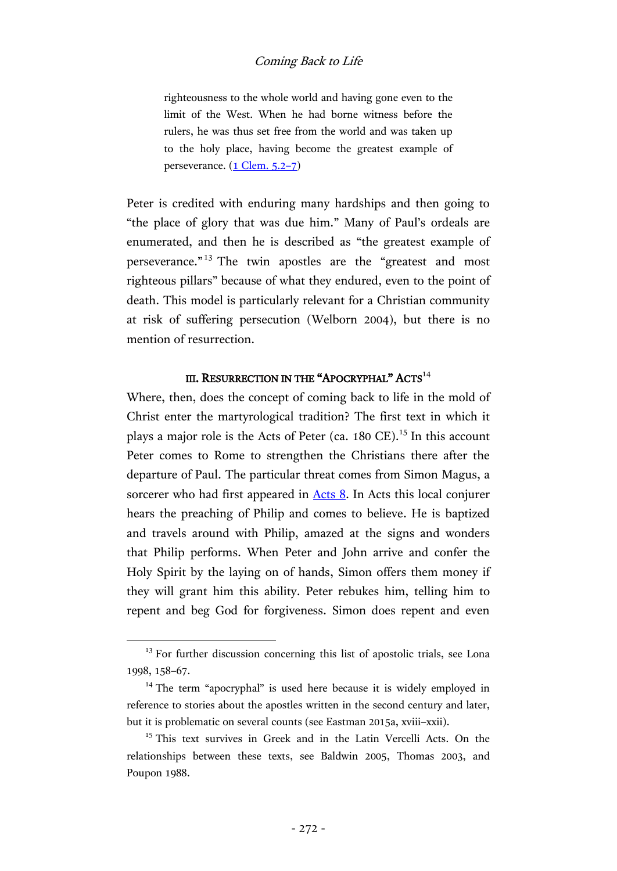## Coming Back to Life

righteousness to the whole world and having gone even to the limit of the West. When he had borne witness before the rulers, he was thus set free from the world and was taken up to the holy place, having become the greatest example of perseverance. [\(1 Clem.](http://hdl.handle.net/2027/mdp.39015042084189?urlappend=%3Bseq=30) 5.2–7)

Peter is credited with enduring many hardships and then going to "the place of glory that was due him." Many of Paul's ordeals are enumerated, and then he is described as "the greatest example of perseverance."<sup>13</sup> The twin apostles are the "greatest and most righteous pillars" because of what they endured, even to the point of death. This model is particularly relevant for a Christian community at risk of suffering persecution (Welborn 2004), but there is no mention of resurrection.

## III. RESURRECTION IN THE "APOCRYPHAL" ACTS<sup>14</sup>

Where, then, does the concept of coming back to life in the mold of Christ enter the martyrological tradition? The first text in which it plays a major role is the Acts of Peter (ca.  $180 \text{ CE}$ ).<sup>15</sup> In this account Peter comes to Rome to strengthen the Christians there after the departure of Paul. The particular threat comes from Simon Magus, a sorcerer who had first appeared in  $\frac{\text{Acts } 8}{\text{Acts } 8}$ . In [Acts](http://www.academic-bible.com/bible-text/Acts8/NA/) this local conjurer hears the preaching of Philip and comes to believe. He is baptized and travels around with Philip, amazed at the signs and wonders that Philip performs. When Peter and John arrive and confer the Holy Spirit by the laying on of hands, Simon offers them money if they will grant him this ability. Peter rebukes him, telling him to repent and beg God for forgiveness. Simon does repent and even

<sup>&</sup>lt;sup>13</sup> For further discussion concerning this list of apostolic trials, see Lona 1998, 158–67.

<sup>&</sup>lt;sup>14</sup> The term "apocryphal" is used here because it is widely employed in reference to stories about the apostles written in the second century and later, but it is problematic on several counts (see Eastman 2015a, xviii–xxii).

<sup>&</sup>lt;sup>15</sup> This text survives in Greek and in the Latin Vercelli Acts. On the relationships between these texts, see Baldwin 2005, Thomas 2003, and Poupon 1988.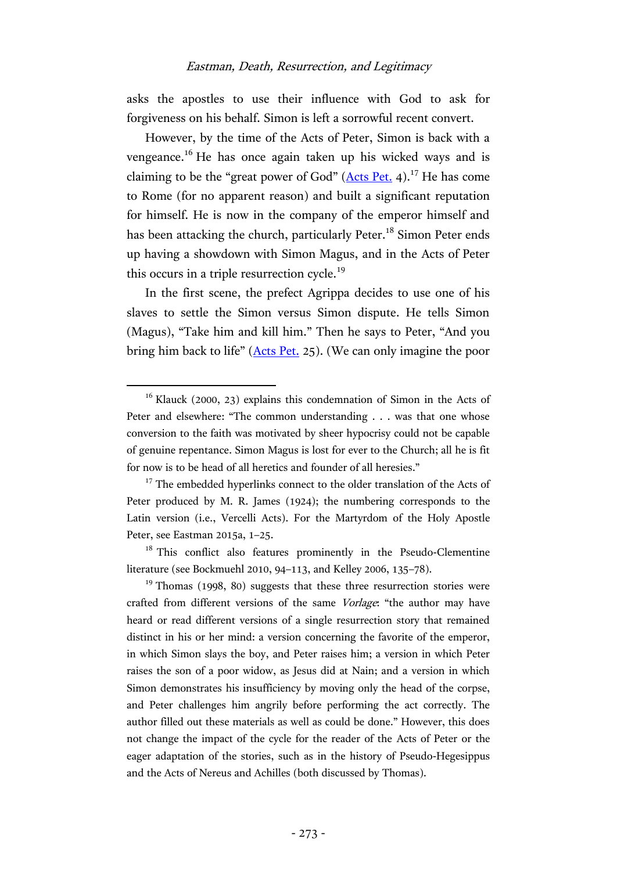asks the apostles to use their influence with God to ask for forgiveness on his behalf. Simon is left a sorrowful recent convert.

However, by the time of the Acts of Peter, Simon is back with a vengeance.<sup>16</sup> He has once again taken up his wicked ways and is claiming to be the "great power of God" [\(Acts Pet.](http://www.earlychristianwritings.com/text/actspeter.html) 4).<sup>17</sup> He has come to Rome (for no apparent reason) and built a significant reputation for himself. He is now in the company of the emperor himself and has been attacking the church, particularly Peter.<sup>18</sup> Simon Peter ends up having a showdown with Simon Magus, and in the Acts of Peter this occurs in a triple resurrection cycle.<sup>19</sup>

In the first scene, the prefect Agrippa decides to use one of his slaves to settle the Simon versus Simon dispute. He tells Simon (Magus), "Take him and kill him." Then he says to Peter, "And you bring him back to life" [\(Acts Pet.](http://www.earlychristianwritings.com/text/actspeter.html) 25). (We can only imagine the poor

 $\overline{a}$ 

<sup>18</sup> This conflict also features prominently in the Pseudo-Clementine literature (see Bockmuehl 2010, 94–113, and Kelley 2006, 135–78).

 $19$ <sup>19</sup> Thomas (1998, 80) suggests that these three resurrection stories were crafted from different versions of the same Vorlage: "the author may have heard or read different versions of a single resurrection story that remained distinct in his or her mind: a version concerning the favorite of the emperor, in which Simon slays the boy, and Peter raises him; a version in which Peter raises the son of a poor widow, as Jesus did at Nain; and a version in which Simon demonstrates his insufficiency by moving only the head of the corpse, and Peter challenges him angrily before performing the act correctly. The author filled out these materials as well as could be done." However, this does not change the impact of the cycle for the reader of the Acts of Peter or the eager adaptation of the stories, such as in the history of Pseudo-Hegesippus and the Acts of Nereus and Achilles (both discussed by Thomas).

 $16$  Klauck (2000, 23) explains this condemnation of Simon in the Acts of Peter and elsewhere: "The common understanding . . . was that one whose conversion to the faith was motivated by sheer hypocrisy could not be capable of genuine repentance. Simon Magus is lost for ever to the Church; all he is fit for now is to be head of all heretics and founder of all heresies."

<sup>&</sup>lt;sup>17</sup> The embedded hyperlinks connect to the older translation of the Acts of Peter produced by M. R. James (1924); the numbering corresponds to the Latin version (i.e., Vercelli Acts). For the Martyrdom of the Holy Apostle Peter, see Eastman 2015a, 1–25.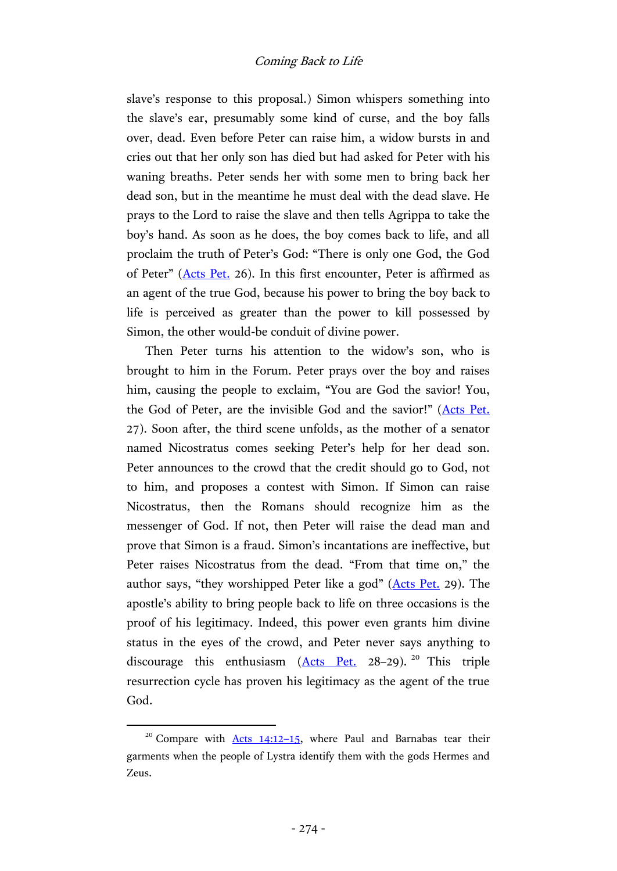slave's response to this proposal.) Simon whispers something into the slave's ear, presumably some kind of curse, and the boy falls over, dead. Even before Peter can raise him, a widow bursts in and cries out that her only son has died but had asked for Peter with his waning breaths. Peter sends her with some men to bring back her dead son, but in the meantime he must deal with the dead slave. He prays to the Lord to raise the slave and then tells Agrippa to take the boy's hand. As soon as he does, the boy comes back to life, and all proclaim the truth of Peter's God: "There is only one God, the God of Peter" [\(Acts Pet.](http://www.earlychristianwritings.com/text/actspeter.html) 26). In this first encounter, Peter is affirmed as an agent of the true God, because his power to bring the boy back to life is perceived as greater than the power to kill possessed by Simon, the other would-be conduit of divine power.

Then Peter turns his attention to the widow's son, who is brought to him in the Forum. Peter prays over the boy and raises him, causing the people to exclaim, "You are God the savior! You, the God of Peter, are the invisible God and the savior!" [\(Acts Pet.](http://www.earlychristianwritings.com/text/actspeter.html) 27). Soon after, the third scene unfolds, as the mother of a senator named Nicostratus comes seeking Peter's help for her dead son. Peter announces to the crowd that the credit should go to God, not to him, and proposes a contest with Simon. If Simon can raise Nicostratus, then the Romans should recognize him as the messenger of God. If not, then Peter will raise the dead man and prove that Simon is a fraud. Simon's incantations are ineffective, but Peter raises Nicostratus from the dead. "From that time on," the author says, "they worshipped Peter like a god" [\(Acts Pet.](http://www.earlychristianwritings.com/text/actspeter.html) 29). The apostle's ability to bring people back to life on three occasions is the proof of his legitimacy. Indeed, this power even grants him divine status in the eyes of the crowd, and Peter never says anything to discourage this enthusiasm [\(Acts Pet.](http://www.earlychristianwritings.com/text/actspeter.html) 28-29).<sup>20</sup> This triple resurrection cycle has proven his legitimacy as the agent of the true God.

<sup>&</sup>lt;sup>20</sup> Compare with  $\frac{\text{Acts}}{\text{14:12--15}}$ , where Paul and Barnabas tear their garments when the people of Lystra identify them with the gods Hermes and Zeus.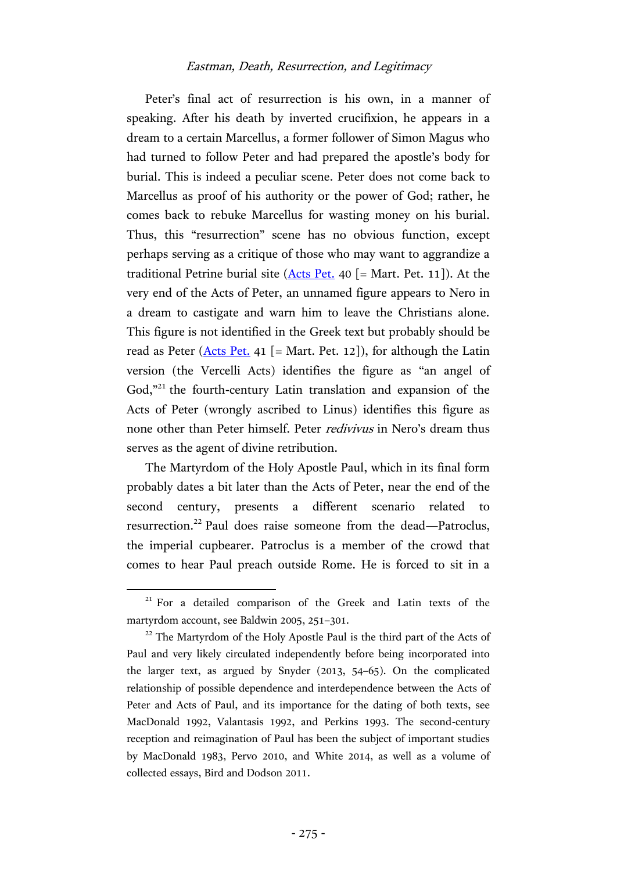Peter's final act of resurrection is his own, in a manner of speaking. After his death by inverted crucifixion, he appears in a dream to a certain Marcellus, a former follower of Simon Magus who had turned to follow Peter and had prepared the apostle's body for burial. This is indeed a peculiar scene. Peter does not come back to Marcellus as proof of his authority or the power of God; rather, he comes back to rebuke Marcellus for wasting money on his burial. Thus, this "resurrection" scene has no obvious function, except perhaps serving as a critique of those who may want to aggrandize a traditional Petrine burial site ( $\Delta \text{cts Pet. } 40$  [= Mart. Pet. 11]). At the very end of the Acts of Peter, an unnamed figure appears to Nero in a dream to castigate and warn him to leave the Christians alone. This figure is not identified in the Greek text but probably should be read as Peter ( $\Delta \text{cts Pet. } 41$  [= Mart. Pet. 12]), for although the Latin version (the Vercelli Acts) identifies the figure as "an angel of God,"<sup>21</sup> the fourth-century Latin translation and expansion of the Acts of Peter (wrongly ascribed to Linus) identifies this figure as none other than Peter himself. Peter redivivus in Nero's dream thus serves as the agent of divine retribution.

The Martyrdom of the Holy Apostle Paul, which in its final form probably dates a bit later than the Acts of Peter, near the end of the second century, presents a different scenario related to resurrection.<sup>22</sup> Paul does raise someone from the dead—Patroclus, the imperial cupbearer. Patroclus is a member of the crowd that comes to hear Paul preach outside Rome. He is forced to sit in a

<sup>&</sup>lt;sup>21</sup> For a detailed comparison of the Greek and Latin texts of the martyrdom account, see Baldwin 2005, 251–301.

<sup>&</sup>lt;sup>22</sup> The Martyrdom of the Holy Apostle Paul is the third part of the Acts of Paul and very likely circulated independently before being incorporated into the larger text, as argued by Snyder (2013, 54–65). On the complicated relationship of possible dependence and interdependence between the Acts of Peter and Acts of Paul, and its importance for the dating of both texts, see MacDonald 1992, Valantasis 1992, and Perkins 1993. The second-century reception and reimagination of Paul has been the subject of important studies by MacDonald 1983, Pervo 2010, and White 2014, as well as a volume of collected essays, Bird and Dodson 2011.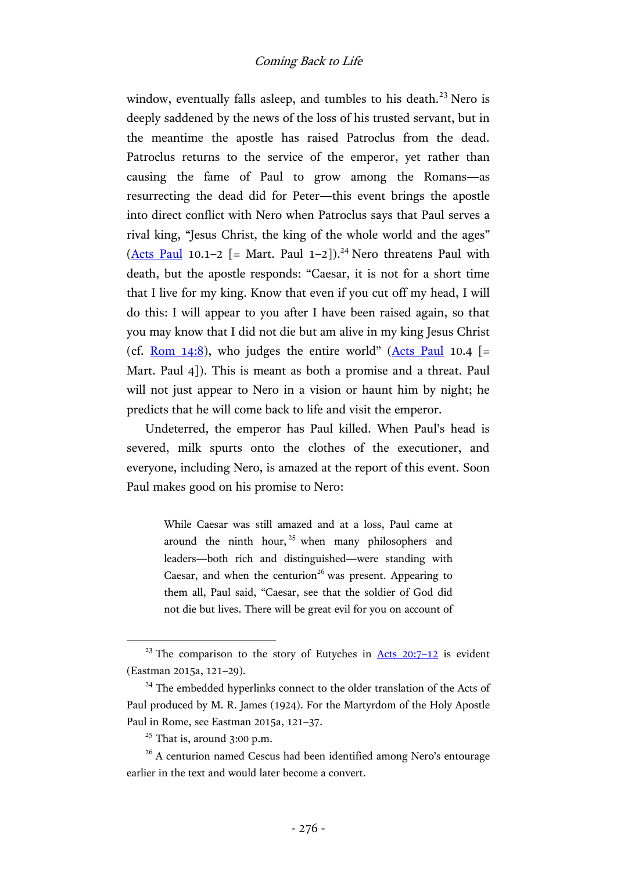window, eventually falls asleep, and tumbles to his death.<sup>23</sup> Nero is deeply saddened by the news of the loss of his trusted servant, but in the meantime the apostle has raised Patroclus from the dead. Patroclus returns to the service of the emperor, yet rather than causing the fame of Paul to grow among the Romans—as resurrecting the dead did for Peter—this event brings the apostle into direct conflict with Nero when Patroclus says that Paul serves a rival king, "Jesus Christ, the king of the whole world and the ages" [\(Acts Paul](http://www.earlychristianwritings.com/text/actspaul.html) 10.1–2  $[=$  Mart. Paul 1–2]).<sup>24</sup> Nero threatens Paul with death, but the apostle responds: "Caesar, it is not for a short time that I live for my king. Know that even if you cut off my head, I will do this: I will appear to you after I have been raised again, so that you may know that I did not die but am alive in my king Jesus Christ (cf. [Rom 14:8\)](http://www.academic-bible.com/bible-text/Romans14.8/NA/), who judges the entire world" [\(Acts Paul](http://www.earlychristianwritings.com/text/actspaul.html) 10.4  $\lceil$  = Mart. Paul 4]). This is meant as both a promise and a threat. Paul will not just appear to Nero in a vision or haunt him by night; he predicts that he will come back to life and visit the emperor.

Undeterred, the emperor has Paul killed. When Paul's head is severed, milk spurts onto the clothes of the executioner, and everyone, including Nero, is amazed at the report of this event. Soon Paul makes good on his promise to Nero:

> While Caesar was still amazed and at a loss, Paul came at around the ninth hour,  $25$  when many philosophers and leaders—both rich and distinguished—were standing with Caesar, and when the centurion<sup>26</sup> was present. Appearing to them all, Paul said, "Caesar, see that the soldier of God did not die but lives. There will be great evil for you on account of

<sup>&</sup>lt;sup>23</sup> The comparison to the story of Eutyches in  $\frac{\text{Acts}}{\text{20:7}-12}$  is evident (Eastman 2015a, 121–29).

 $24$  The embedded hyperlinks connect to the older translation of the Acts of Paul produced by M. R. James (1924). For the Martyrdom of the Holy Apostle Paul in Rome, see Eastman 2015a, 121–37.

 $25$  That is, around 3:00 p.m.

<sup>&</sup>lt;sup>26</sup> A centurion named Cescus had been identified among Nero's entourage earlier in the text and would later become a convert.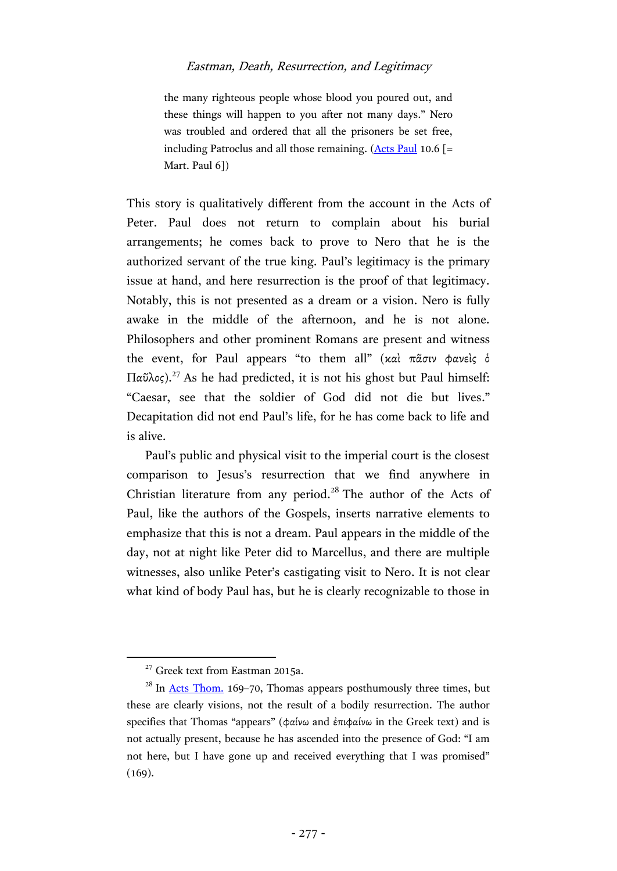the many righteous people whose blood you poured out, and these things will happen to you after not many days." Nero was troubled and ordered that all the prisoners be set free, including Patroclus and all those remaining. ( $\Delta$ cts Paul 10.6 [= Mart. Paul 6])

This story is qualitatively different from the account in the Acts of Peter. Paul does not return to complain about his burial arrangements; he comes back to prove to Nero that he is the authorized servant of the true king. Paul's legitimacy is the primary issue at hand, and here resurrection is the proof of that legitimacy. Notably, this is not presented as a dream or a vision. Nero is fully awake in the middle of the afternoon, and he is not alone. Philosophers and other prominent Romans are present and witness the event, for Paul appears "to them all" (καὶ πᾶσιν φανεὶς ὁ Παῦλος).<sup>27</sup> As he had predicted, it is not his ghost but Paul himself: "Caesar, see that the soldier of God did not die but lives." Decapitation did not end Paul's life, for he has come back to life and is alive.

Paul's public and physical visit to the imperial court is the closest comparison to Jesus's resurrection that we find anywhere in Christian literature from any period.<sup>28</sup> The author of the Acts of Paul, like the authors of the Gospels, inserts narrative elements to emphasize that this is not a dream. Paul appears in the middle of the day, not at night like Peter did to Marcellus, and there are multiple witnesses, also unlike Peter's castigating visit to Nero. It is not clear what kind of body Paul has, but he is clearly recognizable to those in

<sup>&</sup>lt;sup>27</sup> Greek text from Eastman 2015a.

 $28$  In [Acts Thom.](http://www.earlychristianwritings.com/text/actsthomas.html) 169–70, Thomas appears posthumously three times, but these are clearly visions, not the result of a bodily resurrection. The author specifies that Thomas "appears" (φαίνω and ἐπιφαίνω in the Greek text) and is not actually present, because he has ascended into the presence of God: "I am not here, but I have gone up and received everything that I was promised" (169).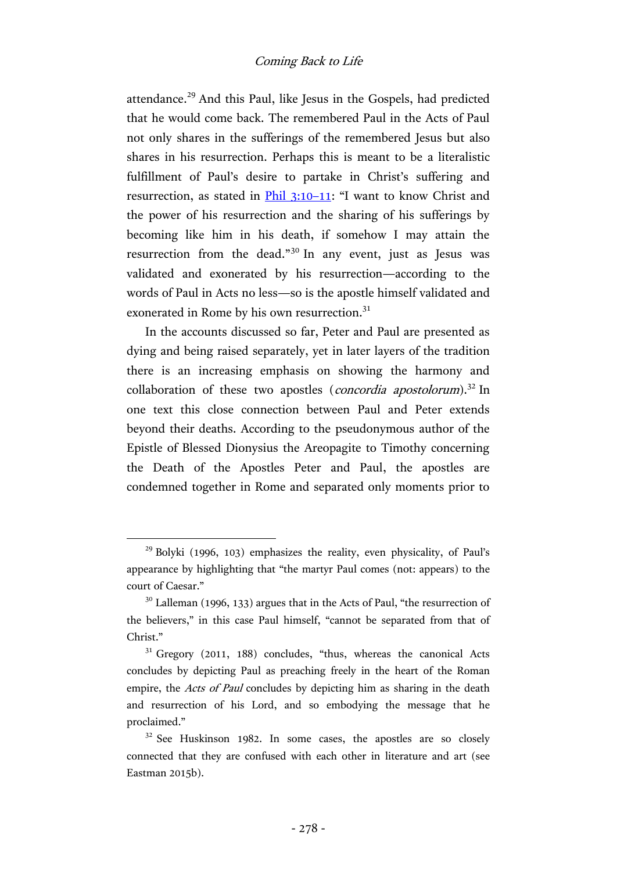attendance.<sup>29</sup> And this Paul, like Jesus in the Gospels, had predicted that he would come back. The remembered Paul in the Acts of Paul not only shares in the sufferings of the remembered Jesus but also shares in his resurrection. Perhaps this is meant to be a literalistic fulfillment of Paul's desire to partake in Christ's suffering and resurrection, as stated in [Phil](http://www.academic-bible.com/bible-text/Philippians3.10-11/NA/) 3:10–11: "I want to know Christ and the power of his resurrection and the sharing of his sufferings by becoming like him in his death, if somehow I may attain the resurrection from the dead."<sup>30</sup> In any event, just as Jesus was validated and exonerated by his resurrection—according to the words of Paul in Acts no less—so is the apostle himself validated and exonerated in Rome by his own resurrection.<sup>31</sup>

In the accounts discussed so far, Peter and Paul are presented as dying and being raised separately, yet in later layers of the tradition there is an increasing emphasis on showing the harmony and collaboration of these two apostles (*concordia apostolorum*).<sup>32</sup> In one text this close connection between Paul and Peter extends beyond their deaths. According to the pseudonymous author of the Epistle of Blessed Dionysius the Areopagite to Timothy concerning the Death of the Apostles Peter and Paul, the apostles are condemned together in Rome and separated only moments prior to

<sup>&</sup>lt;sup>29</sup> Bolyki (1996, 103) emphasizes the reality, even physicality, of Paul's appearance by highlighting that "the martyr Paul comes (not: appears) to the court of Caesar."

 $30$  Lalleman (1996, 133) argues that in the Acts of Paul, "the resurrection of the believers," in this case Paul himself, "cannot be separated from that of Christ."

<sup>&</sup>lt;sup>31</sup> Gregory (2011, 188) concludes, "thus, whereas the canonical Acts concludes by depicting Paul as preaching freely in the heart of the Roman empire, the *Acts of Paul* concludes by depicting him as sharing in the death and resurrection of his Lord, and so embodying the message that he proclaimed."

 $32$  See Huskinson 1982. In some cases, the apostles are so closely connected that they are confused with each other in literature and art (see Eastman 2015b).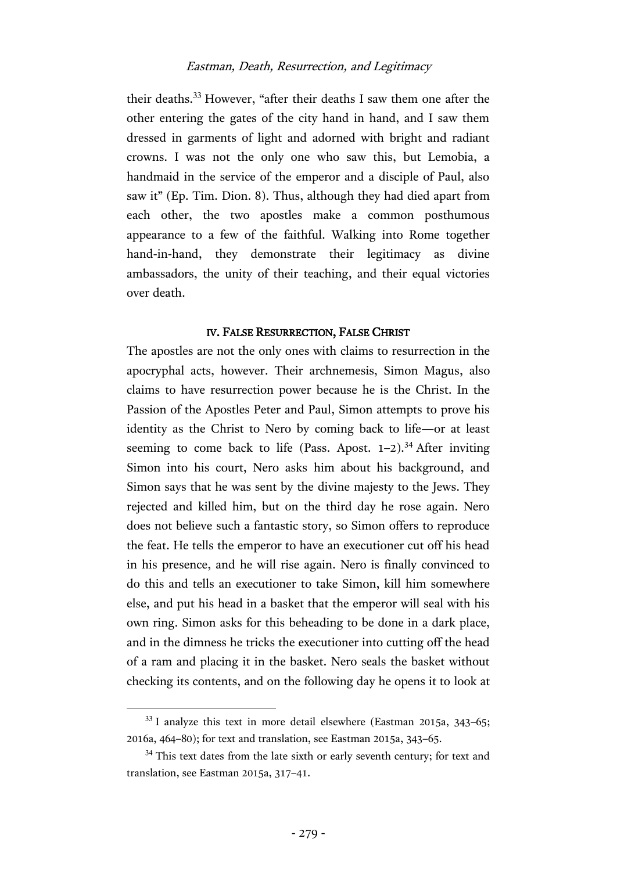their deaths.<sup>33</sup> However, "after their deaths I saw them one after the other entering the gates of the city hand in hand, and I saw them dressed in garments of light and adorned with bright and radiant crowns. I was not the only one who saw this, but Lemobia, a handmaid in the service of the emperor and a disciple of Paul, also saw it" (Ep. Tim. Dion. 8). Thus, although they had died apart from each other, the two apostles make a common posthumous appearance to a few of the faithful. Walking into Rome together hand-in-hand, they demonstrate their legitimacy as divine ambassadors, the unity of their teaching, and their equal victories over death.

# IV. FALSE RESURRECTION, FALSE CHRIST

The apostles are not the only ones with claims to resurrection in the apocryphal acts, however. Their archnemesis, Simon Magus, also claims to have resurrection power because he is the Christ. In the Passion of the Apostles Peter and Paul, Simon attempts to prove his identity as the Christ to Nero by coming back to life—or at least seeming to come back to life (Pass. Apost.  $1-2$ ).<sup>34</sup> After inviting Simon into his court, Nero asks him about his background, and Simon says that he was sent by the divine majesty to the Jews. They rejected and killed him, but on the third day he rose again. Nero does not believe such a fantastic story, so Simon offers to reproduce the feat. He tells the emperor to have an executioner cut off his head in his presence, and he will rise again. Nero is finally convinced to do this and tells an executioner to take Simon, kill him somewhere else, and put his head in a basket that the emperor will seal with his own ring. Simon asks for this beheading to be done in a dark place, and in the dimness he tricks the executioner into cutting off the head of a ram and placing it in the basket. Nero seals the basket without checking its contents, and on the following day he opens it to look at

 $33$  I analyze this text in more detail elsewhere (Eastman 2015a, 343-65; 2016a, 464–80); for text and translation, see Eastman 2015a, 343–65.

 $34$  This text dates from the late sixth or early seventh century; for text and translation, see Eastman 2015a, 317–41.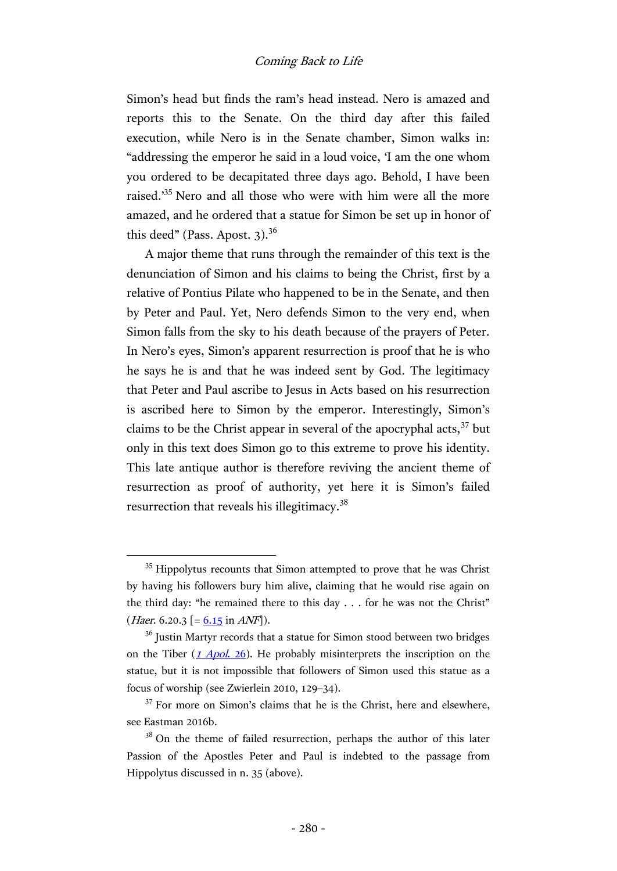## Coming Back to Life

Simon's head but finds the ram's head instead. Nero is amazed and reports this to the Senate. On the third day after this failed execution, while Nero is in the Senate chamber, Simon walks in: "addressing the emperor he said in a loud voice, 'I am the one whom you ordered to be decapitated three days ago. Behold, I have been raised.<sup>35</sup> Nero and all those who were with him were all the more amazed, and he ordered that a statue for Simon be set up in honor of this deed" (Pass. Apost.  $3$ ).<sup>36</sup>

A major theme that runs through the remainder of this text is the denunciation of Simon and his claims to being the Christ, first by a relative of Pontius Pilate who happened to be in the Senate, and then by Peter and Paul. Yet, Nero defends Simon to the very end, when Simon falls from the sky to his death because of the prayers of Peter. In Nero's eyes, Simon's apparent resurrection is proof that he is who he says he is and that he was indeed sent by God. The legitimacy that Peter and Paul ascribe to Jesus in Acts based on his resurrection is ascribed here to Simon by the emperor. Interestingly, Simon's claims to be the Christ appear in several of the apocryphal acts,  $37$  but only in this text does Simon go to this extreme to prove his identity. This late antique author is therefore reviving the ancient theme of resurrection as proof of authority, yet here it is Simon's failed resurrection that reveals his illegitimacy.<sup>38</sup>

<sup>&</sup>lt;sup>35</sup> Hippolytus recounts that Simon attempted to prove that he was Christ by having his followers bury him alive, claiming that he would rise again on the third day: "he remained there to this day . . . for he was not the Christ" (*Haer.* 6.20.3  $\lceil = 6.15 \text{ in } AMF \rceil$  $\lceil = 6.15 \text{ in } AMF \rceil$  $\lceil = 6.15 \text{ in } AMF \rceil$ ).

 $36$  Justin Martyr records that a statue for Simon stood between two bridges on the Tiber  $(1$  *[Apol](http://hdl.handle.net/2027/njp.32101075296002?urlappend=%3Bseq=187).* 26). He probably misinterprets the inscription on the statue, but it is not impossible that followers of Simon used this statue as a focus of worship (see Zwierlein 2010, 129–34).

 $37$  For more on Simon's claims that he is the Christ, here and elsewhere, see Eastman 2016b.

<sup>&</sup>lt;sup>38</sup> On the theme of failed resurrection, perhaps the author of this later Passion of the Apostles Peter and Paul is indebted to the passage from Hippolytus discussed in n. 35 (above).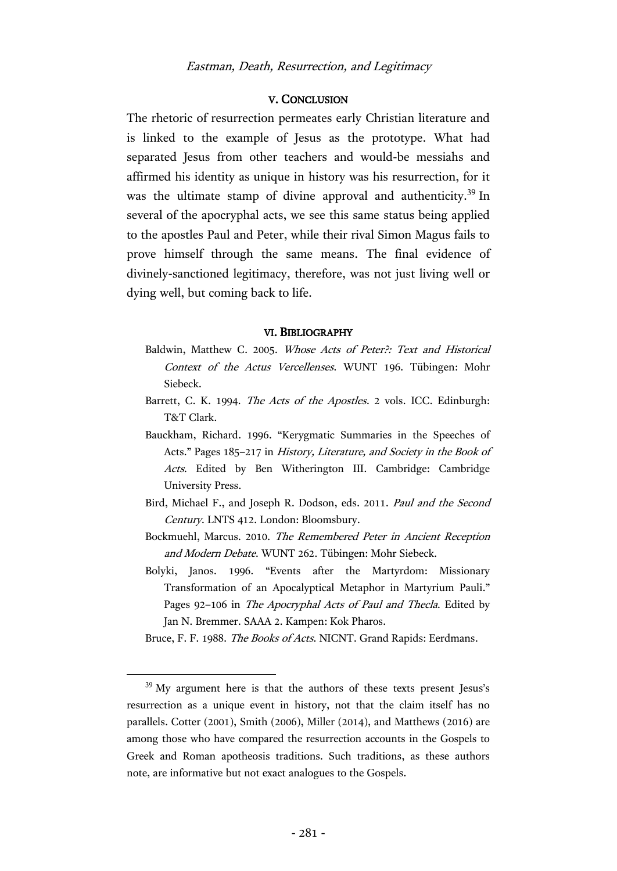#### V. CONCLUSION

The rhetoric of resurrection permeates early Christian literature and is linked to the example of Jesus as the prototype. What had separated Jesus from other teachers and would-be messiahs and affirmed his identity as unique in history was his resurrection, for it was the ultimate stamp of divine approval and authenticity.<sup>39</sup> In several of the apocryphal acts, we see this same status being applied to the apostles Paul and Peter, while their rival Simon Magus fails to prove himself through the same means. The final evidence of divinely-sanctioned legitimacy, therefore, was not just living well or dying well, but coming back to life.

#### VI. BIBLIOGRAPHY

- Baldwin, Matthew C. 2005. Whose Acts of Peter?: Text and Historical Context of the Actus Vercellenses. WUNT 196. Tübingen: Mohr Siebeck.
- Barrett, C. K. 1994. The Acts of the Apostles. 2 vols. ICC. Edinburgh: T&T Clark.
- Bauckham, Richard. 1996. "Kerygmatic Summaries in the Speeches of Acts." Pages 185–217 in History, Literature, and Society in the Book of Acts. Edited by Ben Witherington III. Cambridge: Cambridge University Press.
- Bird, Michael F., and Joseph R. Dodson, eds. 2011. Paul and the Second Century. LNTS 412. London: Bloomsbury.
- Bockmuehl, Marcus. 2010. The Remembered Peter in Ancient Reception and Modern Debate. WUNT 262. Tübingen: Mohr Siebeck.
- Bolyki, Janos. 1996. "Events after the Martyrdom: Missionary Transformation of an Apocalyptical Metaphor in Martyrium Pauli." Pages 92-106 in The Apocryphal Acts of Paul and Thecla. Edited by Jan N. Bremmer. SAAA 2. Kampen: Kok Pharos.
- Bruce, F. F. 1988. The Books of Acts. NICNT. Grand Rapids: Eerdmans.

<sup>&</sup>lt;sup>39</sup> My argument here is that the authors of these texts present Jesus's resurrection as a unique event in history, not that the claim itself has no parallels. Cotter (2001), Smith (2006), Miller (2014), and Matthews (2016) are among those who have compared the resurrection accounts in the Gospels to Greek and Roman apotheosis traditions. Such traditions, as these authors note, are informative but not exact analogues to the Gospels.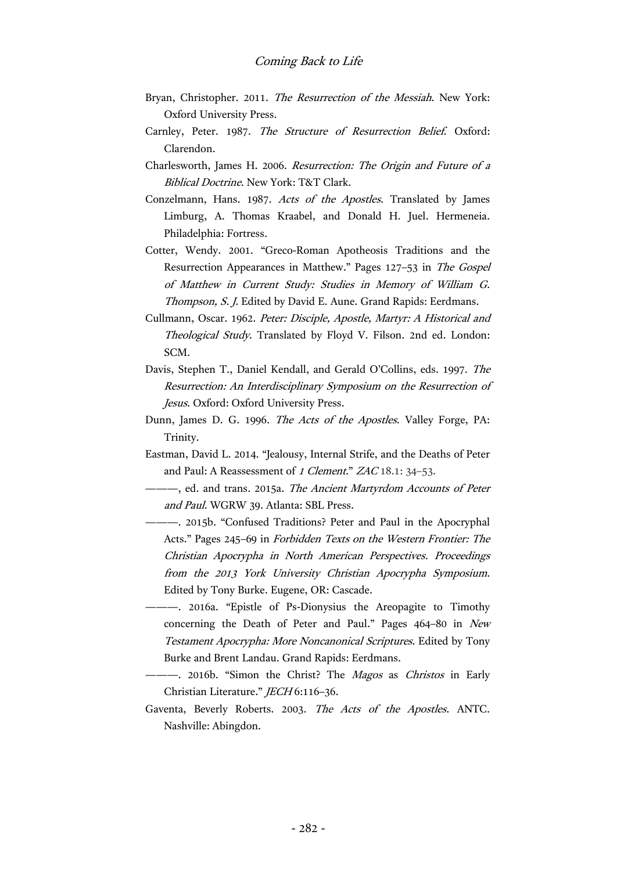- Bryan, Christopher. 2011. The Resurrection of the Messiah. New York: Oxford University Press.
- Carnley, Peter. 1987. The Structure of Resurrection Belief. Oxford: Clarendon.
- Charlesworth, James H. 2006. Resurrection: The Origin and Future of a Biblical Doctrine. New York: T&T Clark.
- Conzelmann, Hans. 1987. Acts of the Apostles. Translated by James Limburg, A. Thomas Kraabel, and Donald H. Juel. Hermeneia. Philadelphia: Fortress.
- Cotter, Wendy. 2001. "Greco-Roman Apotheosis Traditions and the Resurrection Appearances in Matthew." Pages 127–53 in The Gospel of Matthew in Current Study: Studies in Memory of William G. Thompson, S. J. Edited by David E. Aune. Grand Rapids: Eerdmans.
- Cullmann, Oscar. 1962. Peter: Disciple, Apostle, Martyr: A Historical and Theological Study. Translated by Floyd V. Filson. 2nd ed. London: SCM.
- Davis, Stephen T., Daniel Kendall, and Gerald O'Collins, eds. 1997. The Resurrection: An Interdisciplinary Symposium on the Resurrection of Jesus. Oxford: Oxford University Press.
- Dunn, James D. G. 1996. The Acts of the Apostles. Valley Forge, PA: Trinity.
- Eastman, David L. 2014. "Jealousy, Internal Strife, and the Deaths of Peter and Paul: A Reassessment of 1 Clement." ZAC 18.1: 34-53.
	- -, ed. and trans. 2015a. The Ancient Martyrdom Accounts of Peter and Paul. WGRW 39. Atlanta: SBL Press.
	- ———. 2015b. "Confused Traditions? Peter and Paul in the Apocryphal Acts." Pages 245–69 in Forbidden Texts on the Western Frontier: The Christian Apocrypha in North American Perspectives. Proceedings from the 2013 York University Christian Apocrypha Symposium. Edited by Tony Burke. Eugene, OR: Cascade.
- ———. 2016a. "Epistle of Ps-Dionysius the Areopagite to Timothy concerning the Death of Peter and Paul." Pages 464–80 in New Testament Apocrypha: More Noncanonical Scriptures. Edited by Tony Burke and Brent Landau. Grand Rapids: Eerdmans.
- -- 2016b. "Simon the Christ? The Magos as Christos in Early Christian Literature." JECH 6:116-36.
- Gaventa, Beverly Roberts. 2003. The Acts of the Apostles. ANTC. Nashville: Abingdon.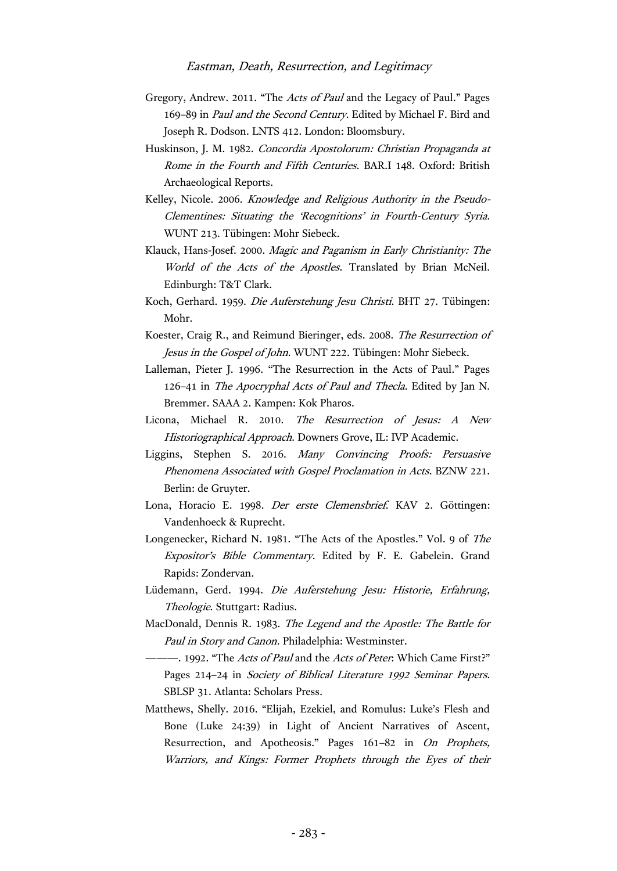- Gregory, Andrew. 2011. "The Acts of Paul and the Legacy of Paul." Pages 169-89 in Paul and the Second Century. Edited by Michael F. Bird and Joseph R. Dodson. LNTS 412. London: Bloomsbury.
- Huskinson, J. M. 1982. Concordia Apostolorum: Christian Propaganda at Rome in the Fourth and Fifth Centuries. BAR.I 148. Oxford: British Archaeological Reports.
- Kelley, Nicole. 2006. Knowledge and Religious Authority in the Pseudo-Clementines: Situating the 'Recognitions' in Fourth-Century Syria. WUNT 213. Tübingen: Mohr Siebeck.
- Klauck, Hans-Josef. 2000. Magic and Paganism in Early Christianity: The World of the Acts of the Apostles. Translated by Brian McNeil. Edinburgh: T&T Clark.
- Koch, Gerhard. 1959. Die Auferstehung Jesu Christi. BHT 27. Tübingen: Mohr.
- Koester, Craig R., and Reimund Bieringer, eds. 2008. The Resurrection of Jesus in the Gospel of John. WUNT 222. Tübingen: Mohr Siebeck.
- Lalleman, Pieter J. 1996. "The Resurrection in the Acts of Paul." Pages 126–41 in The Apocryphal Acts of Paul and Thecla. Edited by Jan N. Bremmer. SAAA 2. Kampen: Kok Pharos.
- Licona, Michael R. 2010. The Resurrection of Jesus: A New Historiographical Approach. Downers Grove, IL: IVP Academic.
- Liggins, Stephen S. 2016. Many Convincing Proofs: Persuasive Phenomena Associated with Gospel Proclamation in Acts. BZNW 221. Berlin: de Gruyter.
- Lona, Horacio E. 1998. Der erste Clemensbrief. KAV 2. Göttingen: Vandenhoeck & Ruprecht.
- Longenecker, Richard N. 1981. "The Acts of the Apostles." Vol. 9 of The Expositor's Bible Commentary. Edited by F. E. Gabelein. Grand Rapids: Zondervan.
- Lüdemann, Gerd. 1994. Die Auferstehung Jesu: Historie, Erfahrung, Theologie. Stuttgart: Radius.
- MacDonald, Dennis R. 1983. The Legend and the Apostle: The Battle for Paul in Story and Canon. Philadelphia: Westminster.
- ———. 1992. "The Acts of Paul and the Acts of Peter: Which Came First?" Pages 214–24 in Society of Biblical Literature 1992 Seminar Papers. SBLSP 31. Atlanta: Scholars Press.
- Matthews, Shelly. 2016. "Elijah, Ezekiel, and Romulus: Luke's Flesh and Bone (Luke 24:39) in Light of Ancient Narratives of Ascent, Resurrection, and Apotheosis." Pages 161–82 in On Prophets, Warriors, and Kings: Former Prophets through the Eyes of their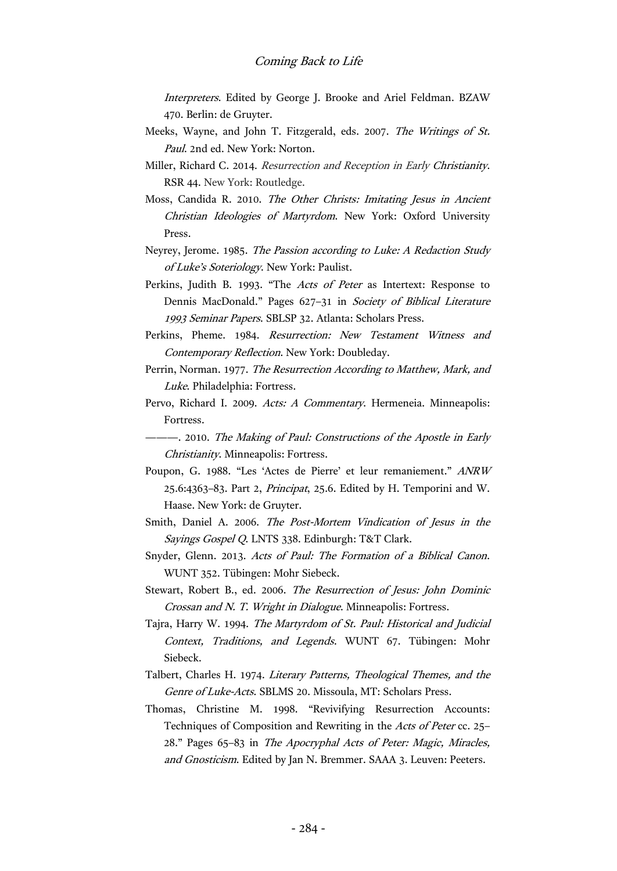Interpreters. Edited by George J. Brooke and Ariel Feldman. BZAW 470. Berlin: de Gruyter.

- Meeks, Wayne, and John T. Fitzgerald, eds. 2007. The Writings of St. Paul. 2nd ed. New York: Norton.
- Miller, Richard C. 2014. Resurrection and Reception in Early Christianity. RSR 44. New York: Routledge.
- Moss, Candida R. 2010. The Other Christs: Imitating Jesus in Ancient Christian Ideologies of Martyrdom. New York: Oxford University Press.
- Neyrey, Jerome. 1985. The Passion according to Luke: A Redaction Study of Luke's Soteriology. New York: Paulist.
- Perkins, Judith B. 1993. "The Acts of Peter as Intertext: Response to Dennis MacDonald." Pages 627–31 in Society of Biblical Literature 1993 Seminar Papers. SBLSP 32. Atlanta: Scholars Press.
- Perkins, Pheme. 1984. Resurrection: New Testament Witness and Contemporary Reflection. New York: Doubleday.
- Perrin, Norman. 1977. The Resurrection According to Matthew, Mark, and Luke. Philadelphia: Fortress.
- Pervo, Richard I. 2009. Acts: A Commentary. Hermeneia. Minneapolis: Fortress.
- -- 2010. The Making of Paul: Constructions of the Apostle in Early Christianity. Minneapolis: Fortress.
- Poupon, G. 1988. "Les 'Actes de Pierre' et leur remaniement." ANRW 25.6:4363–83. Part 2, Principat, 25.6. Edited by H. Temporini and W. Haase. New York: de Gruyter.
- Smith, Daniel A. 2006. The Post-Mortem Vindication of Jesus in the Sayings Gospel Q. LNTS 338. Edinburgh: T&T Clark.
- Snyder, Glenn. 2013. Acts of Paul: The Formation of a Biblical Canon. WUNT 352. Tübingen: Mohr Siebeck.
- Stewart, Robert B., ed. 2006. The Resurrection of Jesus: John Dominic Crossan and N. T. Wright in Dialogue. Minneapolis: Fortress.
- Tajra, Harry W. 1994. The Martyrdom of St. Paul: Historical and Judicial Context, Traditions, and Legends. WUNT 67. Tübingen: Mohr Siebeck.
- Talbert, Charles H. 1974. Literary Patterns, Theological Themes, and the Genre of Luke-Acts. SBLMS 20. Missoula, MT: Scholars Press.
- Thomas, Christine M. 1998. "Revivifying Resurrection Accounts: Techniques of Composition and Rewriting in the Acts of Peter cc. 25– 28." Pages 65–83 in The Apocryphal Acts of Peter: Magic, Miracles, and Gnosticism. Edited by Jan N. Bremmer. SAAA 3. Leuven: Peeters.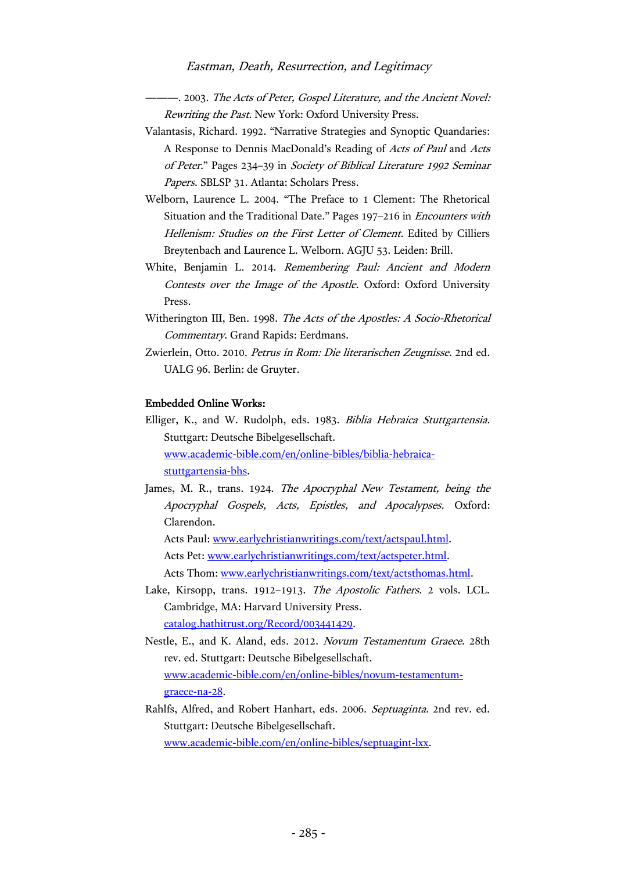-- 2003. The Acts of Peter, Gospel Literature, and the Ancient Novel: Rewriting the Past. New York: Oxford University Press.

- Valantasis, Richard. 1992. "Narrative Strategies and Synoptic Quandaries: A Response to Dennis MacDonald's Reading of Acts of Paul and Acts of Peter." Pages 234–39 in Society of Biblical Literature 1992 Seminar Papers. SBLSP 31. Atlanta: Scholars Press.
- Welborn, Laurence L. 2004. "The Preface to 1 Clement: The Rhetorical Situation and the Traditional Date." Pages 197–216 in Encounters with Hellenism: Studies on the First Letter of Clement. Edited by Cilliers Breytenbach and Laurence L. Welborn. AGJU 53. Leiden: Brill.
- White, Benjamin L. 2014. Remembering Paul: Ancient and Modern Contests over the Image of the Apostle. Oxford: Oxford University Press.
- Witherington III, Ben. 1998. The Acts of the Apostles: A Socio-Rhetorical Commentary. Grand Rapids: Eerdmans.
- Zwierlein, Otto. 2010. Petrus in Rom: Die literarischen Zeugnisse. 2nd ed. UALG 96. Berlin: de Gruyter.

#### Embedded Online Works:

Elliger, K., and W. Rudolph, eds. 1983. Biblia Hebraica Stuttgartensia. Stuttgart: Deutsche Bibelgesellschaft. [www.academic-bible.com/en/online-bibles/biblia-hebraica-](http://www.academic-bible.com/en/online-bibles/biblia-hebraica-stuttgartensia-bhs)

[stuttgartensia-bhs.](http://www.academic-bible.com/en/online-bibles/biblia-hebraica-stuttgartensia-bhs)

James, M. R., trans. 1924. The Apocryphal New Testament, being the Apocryphal Gospels, Acts, Epistles, and Apocalypses. Oxford: Clarendon.

Acts Paul: [www.earlychristianwritings.com/text/actspaul.html.](http://www.earlychristianwritings.com/text/actspaul.html)

Acts Pet: [www.earlychristianwritings.com/text/actspeter.html.](http://www.earlychristianwritings.com/text/actspeter.html)

Acts Thom: [www.earlychristianwritings.com/text/actsthomas.html.](http://www.earlychristianwritings.com/text/actsthomas.html)

- Lake, Kirsopp, trans. 1912–1913. The Apostolic Fathers. 2 vols. LCL. Cambridge, MA: Harvard University Press. [catalog.hathitrust.org/Record/003441429.](http://catalog.hathitrust.org/Record/003441429)
- Nestle, E., and K. Aland, eds. 2012. Novum Testamentum Graece. 28th rev. ed. Stuttgart: Deutsche Bibelgesellschaft. [www.academic-bible.com/en/online-bibles/novum-testamentum](http://www.academic-bible.com/en/online-bibles/novum-testamentum-graece-na-28)[graece-na-28.](http://www.academic-bible.com/en/online-bibles/novum-testamentum-graece-na-28)
- Rahlfs, Alfred, and Robert Hanhart, eds. 2006. Septuaginta. 2nd rev. ed. Stuttgart: Deutsche Bibelgesellschaft. [www.academic-bible.com/en/online-bibles/septuagint-lxx.](http://www.academic-bible.com/en/online-bibles/septuagint-lxx)